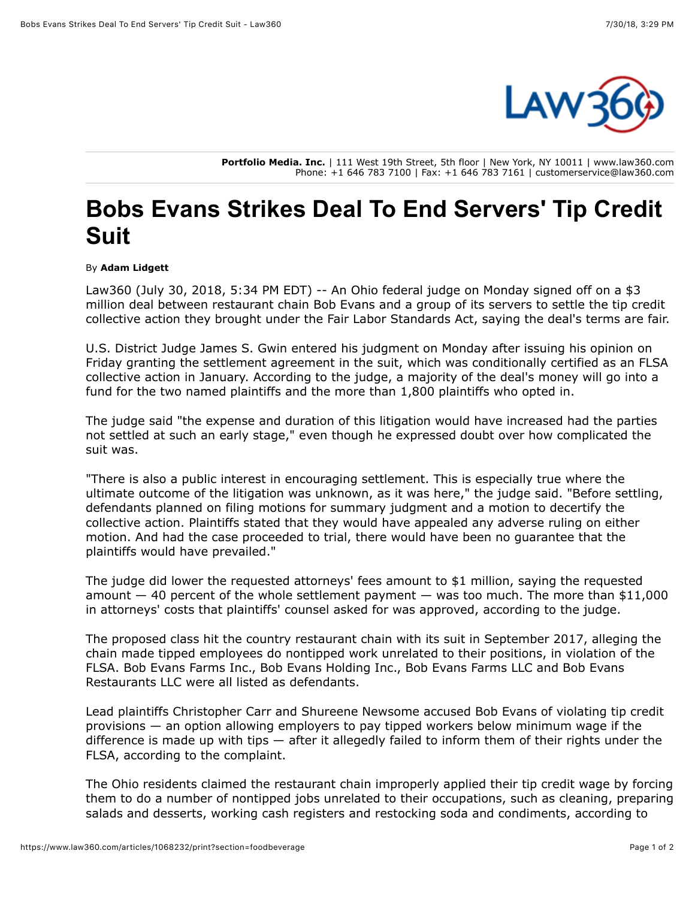

**Portfolio Media. Inc.** | 111 West 19th Street, 5th floor | New York, NY 10011 | www.law360.com Phone: +1 646 783 7100 | Fax: +1 646 783 7161 | customerservice@law360.com

## **Bobs Evans Strikes Deal To End Servers' Tip Credit Suit**

## By **Adam Lidgett**

Law360 (July 30, 2018, 5:34 PM EDT) -- An Ohio federal judge on Monday signed off on a \$3 million deal between restaurant chain Bob Evans and a group of its servers to settle the tip credit collective action they brought under the Fair Labor Standards Act, saying the deal's terms are fair.

U.S. District Judge James S. Gwin entered his judgment on Monday after issuing his opinion on Friday granting the settlement agreement in the suit, which was conditionally certified as an FLSA collective action in January. According to the judge, a majority of the deal's money will go into a fund for the two named plaintiffs and the more than 1,800 plaintiffs who opted in.

The judge said "the expense and duration of this litigation would have increased had the parties not settled at such an early stage," even though he expressed doubt over how complicated the suit was.

"There is also a public interest in encouraging settlement. This is especially true where the ultimate outcome of the litigation was unknown, as it was here," the judge said. "Before settling, defendants planned on filing motions for summary judgment and a motion to decertify the collective action. Plaintiffs stated that they would have appealed any adverse ruling on either motion. And had the case proceeded to trial, there would have been no guarantee that the plaintiffs would have prevailed."

The judge did lower the requested attorneys' fees amount to \$1 million, saying the requested amount  $-40$  percent of the whole settlement payment  $-$  was too much. The more than \$11,000 in attorneys' costs that plaintiffs' counsel asked for was approved, according to the judge.

The proposed class hit the country restaurant chain with its suit in September 2017, alleging the chain made tipped employees do nontipped work unrelated to their positions, in violation of the FLSA. [Bob Evans Farms Inc.](https://www.law360.com/companies/bob-evans-farms-inc), Bob Evans Holding Inc., Bob Evans Farms LLC and Bob Evans Restaurants LLC were all listed as defendants.

Lead plaintiffs Christopher Carr and Shureene Newsome accused Bob Evans of violating tip credit provisions — an option allowing employers to pay tipped workers below minimum wage if the difference is made up with tips — after it allegedly failed to inform them of their rights under the FLSA, according to the complaint.

The Ohio residents claimed the restaurant chain improperly applied their tip credit wage by forcing them to do a number of nontipped jobs unrelated to their occupations, such as cleaning, preparing salads and desserts, working cash registers and restocking soda and condiments, according to